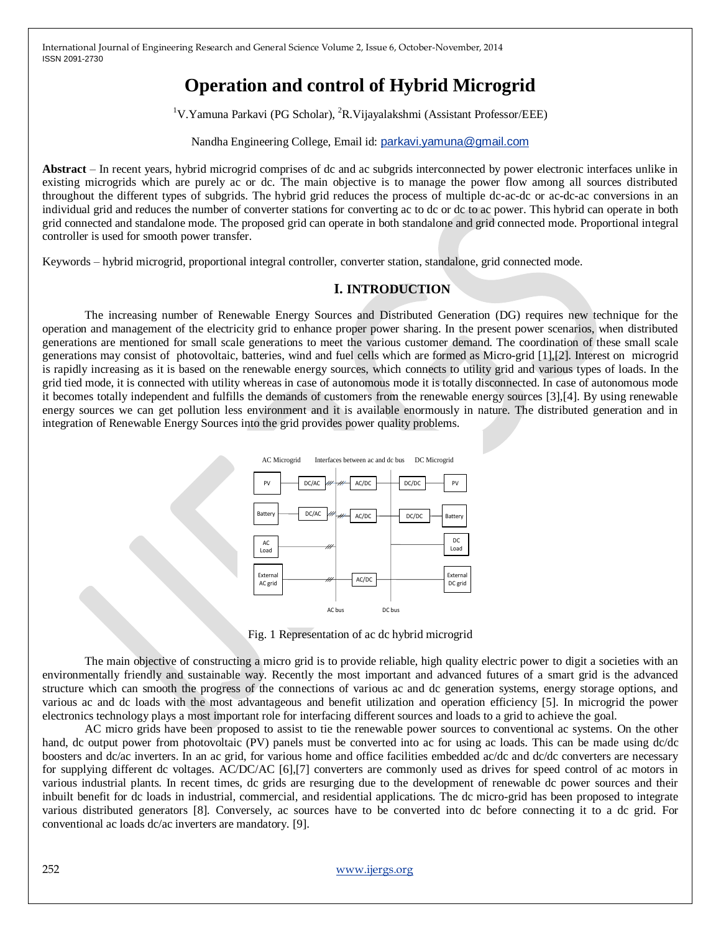# **Operation and control of Hybrid Microgrid**

<sup>1</sup>V.Yamuna Parkavi (PG Scholar), <sup>2</sup>R.Vijayalakshmi (Assistant Professor/EEE)

Nandha Engineering College, Email id: [parkavi.yamuna@gmail.com](mailto:parkavi.yamuna@gmail.com)

**Abstract** – In recent years, hybrid microgrid comprises of dc and ac subgrids interconnected by power electronic interfaces unlike in existing microgrids which are purely ac or dc. The main objective is to manage the power flow among all sources distributed throughout the different types of subgrids. The hybrid grid reduces the process of multiple dc-ac-dc or ac-dc-ac conversions in an individual grid and reduces the number of converter stations for converting ac to dc or dc to ac power. This hybrid can operate in both grid connected and standalone mode. The proposed grid can operate in both standalone and grid connected mode. Proportional integral controller is used for smooth power transfer.

Keywords – hybrid microgrid, proportional integral controller, converter station, standalone, grid connected mode.

# **I. INTRODUCTION**

The increasing number of Renewable Energy Sources and Distributed Generation (DG) requires new technique for the operation and management of the electricity grid to enhance proper power sharing. In the present power scenarios, when distributed generations are mentioned for small scale generations to meet the various customer demand. The coordination of these small scale generations may consist of photovoltaic, batteries, wind and fuel cells which are formed as Micro-grid [1],[2]. Interest on microgrid is rapidly increasing as it is based on the renewable energy sources, which connects to utility grid and various types of loads. In the grid tied mode, it is connected with utility whereas in case of autonomous mode it is totally disconnected. In case of autonomous mode it becomes totally independent and fulfills the demands of customers from the renewable energy sources [3],[4]. By using renewable energy sources we can get pollution less environment and it is available enormously in nature. The distributed generation and in integration of Renewable Energy Sources into the grid provides power quality problems.



Fig. 1 Representation of ac dc hybrid microgrid

The main objective of constructing a micro grid is to provide reliable, high quality electric power to digit a societies with an environmentally friendly and sustainable way. Recently the most important and advanced futures of a smart grid is the advanced structure which can smooth the progress of the connections of various ac and dc generation systems, energy storage options, and various ac and dc loads with the most advantageous and benefit utilization and operation efficiency [5]. In microgrid the power electronics technology plays a most important role for interfacing different sources and loads to a grid to achieve the goal.

AC micro grids have been proposed to assist to tie the renewable power sources to conventional ac systems. On the other hand, dc output power from photovoltaic (PV) panels must be converted into ac for using ac loads. This can be made using dc/dc boosters and dc/ac inverters. In an ac grid, for various home and office facilities embedded ac/dc and dc/dc converters are necessary for supplying different dc voltages. AC/DC/AC [6],[7] converters are commonly used as drives for speed control of ac motors in various industrial plants. In recent times, dc grids are resurging due to the development of renewable dc power sources and their inbuilt benefit for dc loads in industrial, commercial, and residential applications. The dc micro-grid has been proposed to integrate various distributed generators [8]. Conversely, ac sources have to be converted into dc before connecting it to a dc grid. For conventional ac loads dc/ac inverters are mandatory. [9].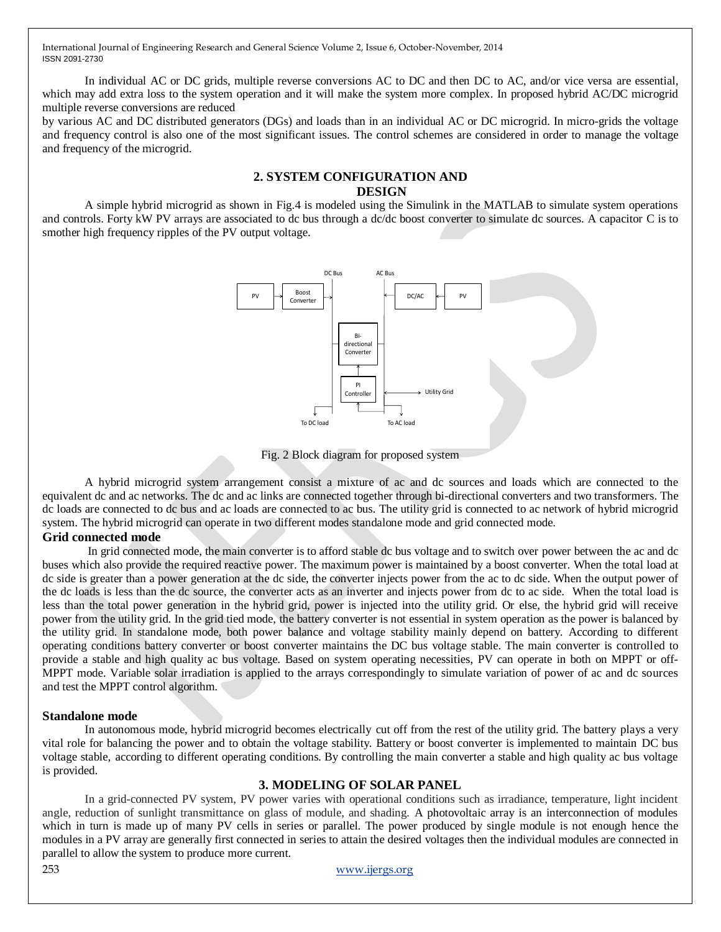In individual AC or DC grids, multiple reverse conversions AC to DC and then DC to AC, and/or vice versa are essential, which may add extra loss to the system operation and it will make the system more complex. In proposed hybrid AC/DC microgrid multiple reverse conversions are reduced

by various AC and DC distributed generators (DGs) and loads than in an individual AC or DC microgrid. In micro-grids the voltage and frequency control is also one of the most significant issues. The control schemes are considered in order to manage the voltage and frequency of the microgrid.

## **2. SYSTEM CONFIGURATION AND DESIGN**

A simple hybrid microgrid as shown in Fig.4 is modeled using the Simulink in the MATLAB to simulate system operations and controls. Forty kW PV arrays are associated to dc bus through a dc/dc boost converter to simulate dc sources. A capacitor C is to smother high frequency ripples of the PV output voltage.



Fig. 2 Block diagram for proposed system

A hybrid microgrid system arrangement consist a mixture of ac and dc sources and loads which are connected to the equivalent dc and ac networks. The dc and ac links are connected together through bi-directional converters and two transformers. The dc loads are connected to dc bus and ac loads are connected to ac bus. The utility grid is connected to ac network of hybrid microgrid system. The hybrid microgrid can operate in two different modes standalone mode and grid connected mode.

## **Grid connected mode**

In grid connected mode, the main converter is to afford stable dc bus voltage and to switch over power between the ac and dc buses which also provide the required reactive power. The maximum power is maintained by a boost converter. When the total load at dc side is greater than a power generation at the dc side, the converter injects power from the ac to dc side. When the output power of the dc loads is less than the dc source, the converter acts as an inverter and injects power from dc to ac side. When the total load is less than the total power generation in the hybrid grid, power is injected into the utility grid. Or else, the hybrid grid will receive power from the utility grid. In the grid tied mode, the battery converter is not essential in system operation as the power is balanced by the utility grid. In standalone mode, both power balance and voltage stability mainly depend on battery. According to different operating conditions battery converter or boost converter maintains the DC bus voltage stable. The main converter is controlled to provide a stable and high quality ac bus voltage. Based on system operating necessities, PV can operate in both on MPPT or off-MPPT mode. Variable solar irradiation is applied to the arrays correspondingly to simulate variation of power of ac and dc sources and test the MPPT control algorithm.

#### **Standalone mode**

In autonomous mode, hybrid microgrid becomes electrically cut off from the rest of the utility grid. The battery plays a very vital role for balancing the power and to obtain the voltage stability. Battery or boost converter is implemented to maintain DC bus voltage stable, according to different operating conditions. By controlling the main converter a stable and high quality ac bus voltage is provided.

## **3. MODELING OF SOLAR PANEL**

In a grid-connected PV system, PV power varies with operational conditions such as irradiance, temperature, light incident angle, reduction of sunlight transmittance on glass of module, and shading. A photovoltaic array is an interconnection of modules which in turn is made up of many PV cells in series or parallel. The power produced by single module is not enough hence the modules in a PV array are generally first connected in series to attain the desired voltages then the individual modules are connected in parallel to allow the system to produce more current.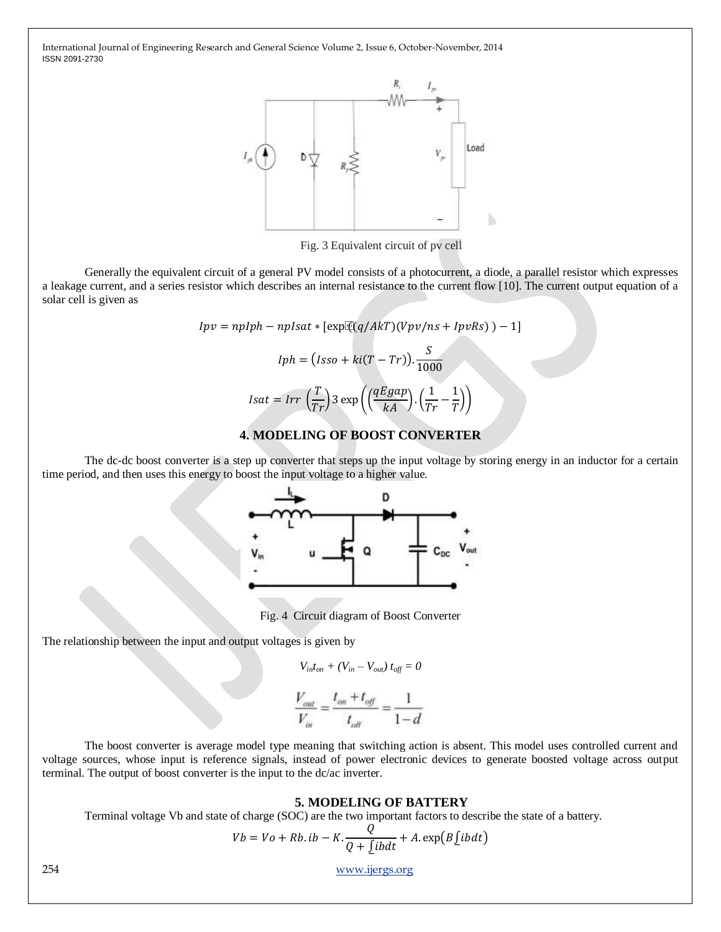

Fig. 3 Equivalent circuit of pv cell

Generally the equivalent circuit of a general PV model consists of a photocurrent, a diode, a parallel resistor which expresses a leakage current, and a series resistor which describes an internal resistance to the current flow [10]. The current output equation of a solar cell is given as

$$
Ipv = npIph - npIsat * [exp\left((q/AkT)(Vpv/ns + IpvRs)\right) - 1]
$$

$$
Iph = (Isso + ki(T - Tr)). \frac{S}{1000}
$$

$$
Isat = Irr\left(\frac{T}{Tr}\right)3 \exp\left(\left(\frac{qEgap}{kA}\right) \cdot \left(\frac{1}{Tr} - \frac{1}{T}\right)\right)
$$

# **4. MODELING OF BOOST CONVERTER**

The dc-dc boost converter is a step up converter that steps up the input voltage by storing energy in an inductor for a certain time period, and then uses this energy to boost the input voltage to a higher value.



Fig. 4 Circuit diagram of Boost Converter

The relationship between the input and output voltages is given by

$$
V_{in}t_{on} + (V_{in} - V_{out}) t_{off} = 0
$$

$$
\frac{V_{out}}{V_{in}} = \frac{t_{on} + t_{off}}{t_{off}} = \frac{1}{1 - d}
$$

The boost converter is average model type meaning that switching action is absent. This model uses controlled current and voltage sources, whose input is reference signals, instead of power electronic devices to generate boosted voltage across output terminal. The output of boost converter is the input to the dc/ac inverter.

#### **5. MODELING OF BATTERY**

Terminal voltage Vb and state of charge (SOC) are the two important factors to describe the state of a battery.

$$
Vb = Vo + Rb. ib - K.\frac{Q}{Q + \underline{\int}ibdt} + A.\exp(B\underline{\int}ibdt)
$$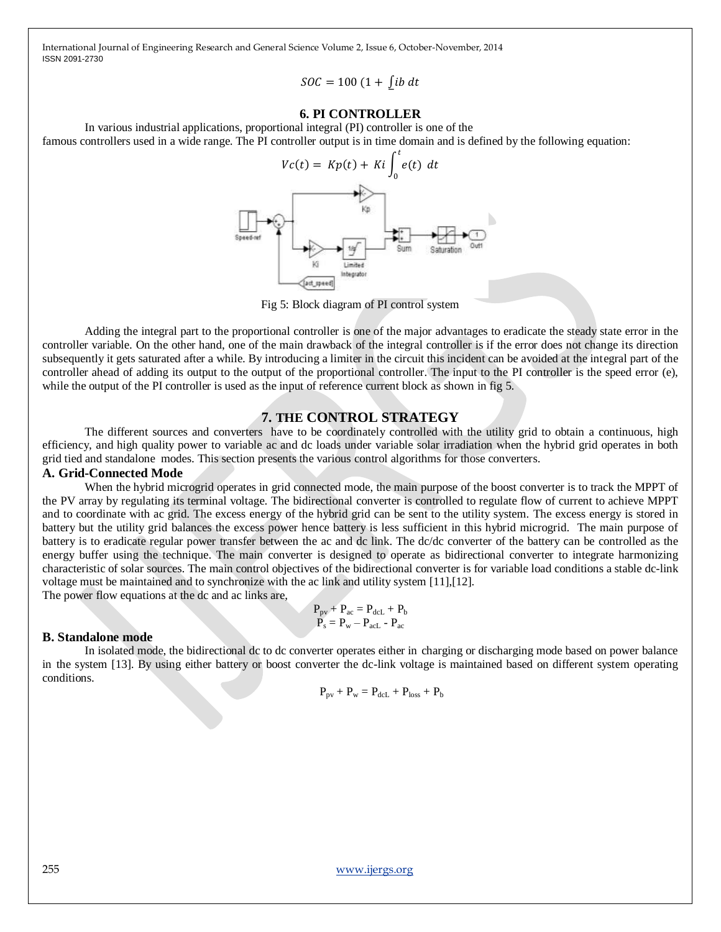$$
SOC = 100 (1 + \int ib \, dt
$$

## **6. PI CONTROLLER**

In various industrial applications, proportional integral (PI) controller is one of the famous controllers used in a wide range. The PI controller output is in time domain and is defined by the following equation:



Fig 5: Block diagram of PI control system

Adding the integral part to the proportional controller is one of the major advantages to eradicate the steady state error in the controller variable. On the other hand, one of the main drawback of the integral controller is if the error does not change its direction subsequently it gets saturated after a while. By introducing a limiter in the circuit this incident can be avoided at the integral part of the controller ahead of adding its output to the output of the proportional controller. The input to the PI controller is the speed error (e), while the output of the PI controller is used as the input of reference current block as shown in fig 5.

## **7. THE CONTROL STRATEGY**

The different sources and converters have to be coordinately controlled with the utility grid to obtain a continuous, high efficiency, and high quality power to variable ac and dc loads under variable solar irradiation when the hybrid grid operates in both grid tied and standalone modes. This section presents the various control algorithms for those converters.

#### **A. Grid-Connected Mode**

When the hybrid microgrid operates in grid connected mode, the main purpose of the boost converter is to track the MPPT of the PV array by regulating its terminal voltage. The bidirectional converter is controlled to regulate flow of current to achieve MPPT and to coordinate with ac grid. The excess energy of the hybrid grid can be sent to the utility system. The excess energy is stored in battery but the utility grid balances the excess power hence battery is less sufficient in this hybrid microgrid. The main purpose of battery is to eradicate regular power transfer between the ac and dc link. The dc/dc converter of the battery can be controlled as the energy buffer using the technique. The main converter is designed to operate as bidirectional converter to integrate harmonizing characteristic of solar sources. The main control objectives of the bidirectional converter is for variable load conditions a stable dc-link voltage must be maintained and to synchronize with the ac link and utility system [11],[12].

The power flow equations at the dc and ac links are,

$$
\begin{array}{c} P_{pv}+P_{ac}=P_{dcL}+P_b \\ P_s=P_w-P_{acL}-P_{ac} \end{array}
$$

#### **B. Standalone mode**

In isolated mode, the bidirectional dc to dc converter operates either in charging or discharging mode based on power balance in the system [13]. By using either battery or boost converter the dc-link voltage is maintained based on different system operating conditions.

$$
P_{\rm pv}+P_{\rm w}=P_{dcL}+P_{\rm loss}+P_{\rm b}
$$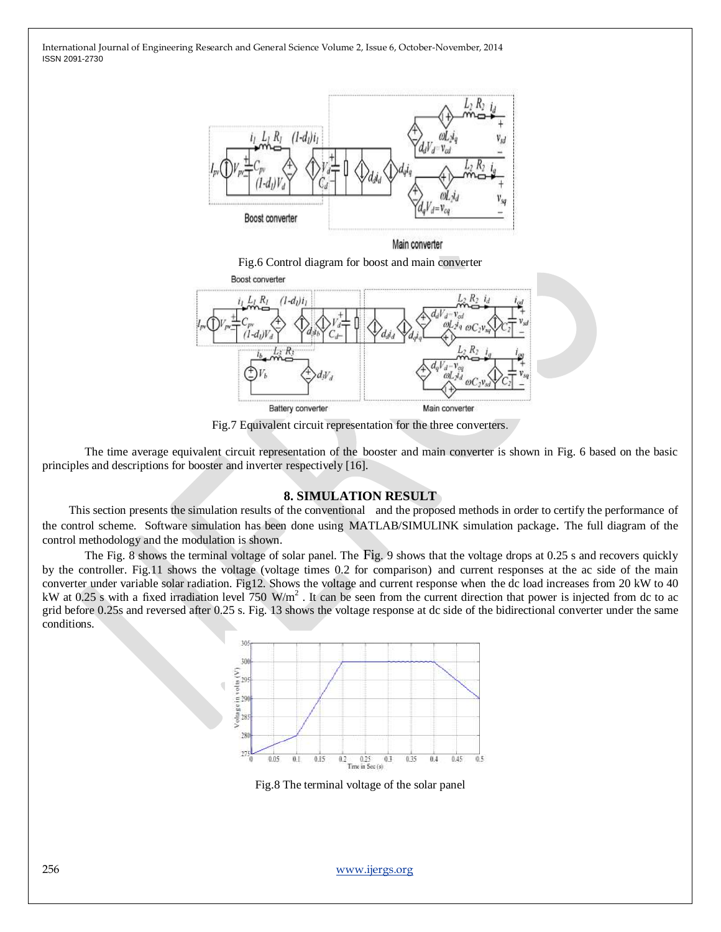

Main converter

Fig.6 Control diagram for boost and main converter



Fig.7 Equivalent circuit representation for the three converters.

The time average equivalent circuit representation of the booster and main converter is shown in Fig. 6 based on the basic principles and descriptions for booster and inverter respectively [16].

#### **8. SIMULATION RESULT**

 This section presents the simulation results of the conventional and the proposed methods in order to certify the performance of the control scheme. Software simulation has been done using MATLAB/SIMULINK simulation package. The full diagram of the control methodology and the modulation is shown.

The Fig. 8 shows the terminal voltage of solar panel. The Fig. 9 shows that the voltage drops at 0.25 s and recovers quickly by the controller. Fig.11 shows the voltage (voltage times 0.2 for comparison) and current responses at the ac side of the main converter under variable solar radiation. Fig12. Shows the voltage and current response when the dc load increases from 20 kW to 40 kW at 0.25 s with a fixed irradiation level  $750 \text{ W/m}^2$ . It can be seen from the current direction that power is injected from dc to ac grid before 0.25s and reversed after 0.25 s. Fig. 13 shows the voltage response at dc side of the bidirectional converter under the same conditions.



Fig.8 The terminal voltage of the solar panel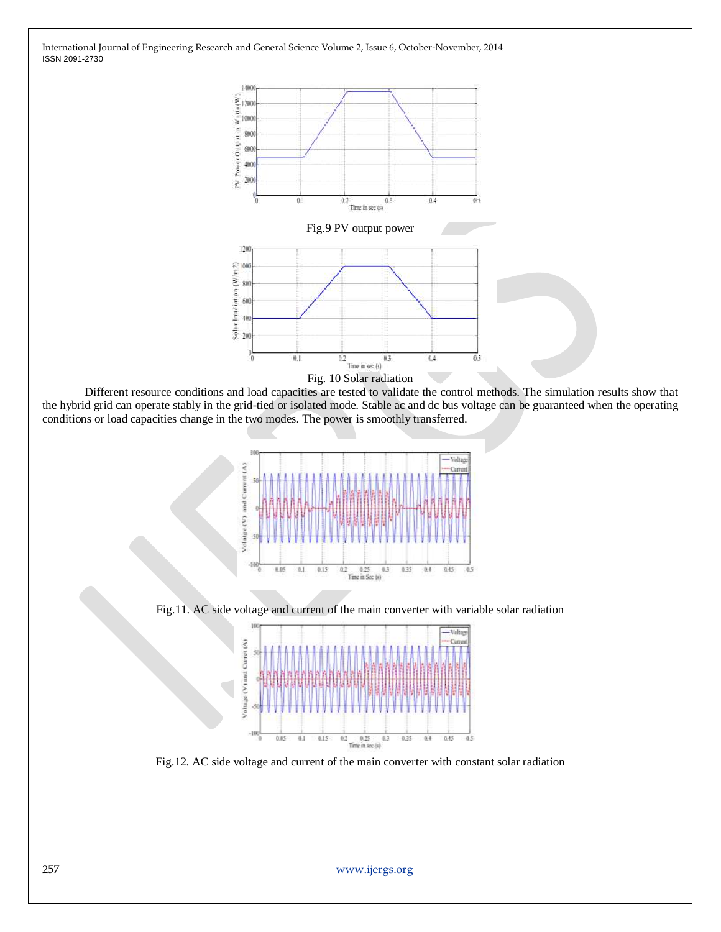



Different resource conditions and load capacities are tested to validate the control methods. The simulation results show that the hybrid grid can operate stably in the grid-tied or isolated mode. Stable ac and dc bus voltage can be guaranteed when the operating conditions or load capacities change in the two modes. The power is smoothly transferred.



Fig.11. AC side voltage and current of the main converter with variable solar radiation



Fig.12. AC side voltage and current of the main converter with constant solar radiation